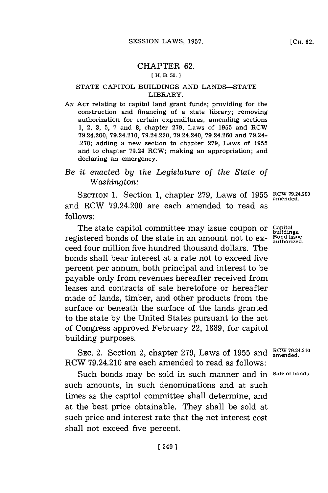# CHAPTER **62.**

### **[ H. B. 50. 1**

#### **STATE** CAPITOL BUILDINGS **AND LANDS-STATE** LIBRARY.

**AN ACT** relating to capitol land grant funds; providing for the construction and financing of a state library; removing authorization for certain expenditures; amending sections **1,** 2, **3, 5, 7** and **8,** chapter **279,** Laws of **1955** and RCW 79.24.200, 79.24.210, 79.24.220, 79.24.240, **79.24.260** and 79.24- **.270;** adding a new section to chapter **279,** Laws of **1955** and to chapter 79.24 RCW; making an appropriation; and declaring an emergency.

## *Be it enacted by the Legislature of the State of Washington:*

SECTION **1.** Section **1,** chapter **279,** Laws of **1955 RCW 79.24.200** and RCW 79.24.200 are each amended to read as **f ollows:**

The state capitol committee may issue coupon or **capitol** registered bonds of the state in an amount not to ex- **Bond issue authorized.** ceed four million five hundred thousand dollars. The bonds shall bear interest at a rate not to exceed five percent per annum, both principal and interest to be payable only from revenues hereafter received from leases and contracts of sale heretofore or hereafter made of lands, timber, and other products from the surface or beneath the surface of the lands granted to the state **by** the United States pursuant to the act of Congress approved February 22, **1889,** for capitol building purposes.

**RCW 79.24.210 SEC.** 2. Section 2, chapter **279,** Laws of **1955** and **amended.** RCW 79.24.210 are each amended to read as follows:

Such bonds may be sold in such manner and in **Sale of bonds.** such amounts, in such denominations and at such times as the capitol committee shall determine, and at the best price obtainable. They shall be sold at such price and interest rate that the net interest cost shall not exceed five percent.

**buildings.**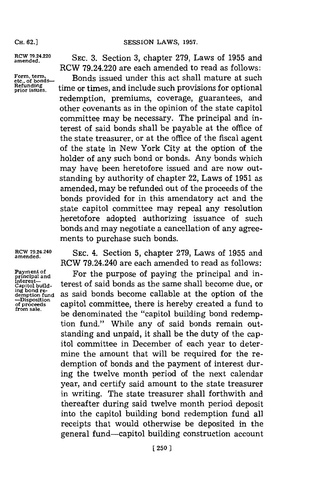**CH. 62.]**

Form, term,<br>etc., of bonds-

amende.2.0 **SEC. 3.** Section **3,** chapter **279,** Laws of **1955** and RCW 79.24.220 are each amended to read as follows:

Form, term,  $\text{term, term, term, etc., of bonds.}$  Bonds issued under this act shall mature at such **Refunding**  $\text{time}$  time or times, and include such provisions for optional redemption, premiums, coverage, guarantees, and other covenants as in the opinion of the state capitol committee may be necessary. The principal and interest of said bonds shall be payable at the office of the state treasurer, or at the office of the fiscal agent of the state in New York City at the option of the holder of any such bond or bonds. Any bonds which may have been heretofore issued and are now outstanding **by** authority of chapter 22, Laws of **1951** as amended, may be refunded out of the proceeds of the bonds provided for in this amendatory act and the state capitol committee may repeal any resolution heretofore adopted authorizing issuance of such bonds and may negotiate a cancellation of any agreements to purchase such bonds.

**-Disposition**

**RCW 79.24.240 SEC.** 4. Section **5,** chapter **279,** Laws of **1955** and **amended.** RCW 79.24.240 are each amended to read as follows:

RCW 79.24.240 are each amended to read as follows:<br> **Payment of principal and**  For the purpose of paying the principal and in-<br>
interest\_ Payment of For the purpose of paying the principal and in-<br>interest-<br>capitol build-<br>capitol build-<br>capitol buildas said bonds become callable at the option of the **of Proceeds** capitol committee, there is hereby created a fund to be denominated the "capitol building bond redemption fund." While any of said bonds remain outstanding and unpaid, it shall be the duty of the capitol committee in December of each year to determine the amount that will be required for the redemption of bonds and the payment of interest during the twelve month period of the next calendar year, and certify said amount to the state treasurer in writing. The state treasurer shall forthwith and thereafter during said twelve month period deposit into the capitol building bond redemption fund all receipts that would otherwise be deposited in the general fund-capitol building construction account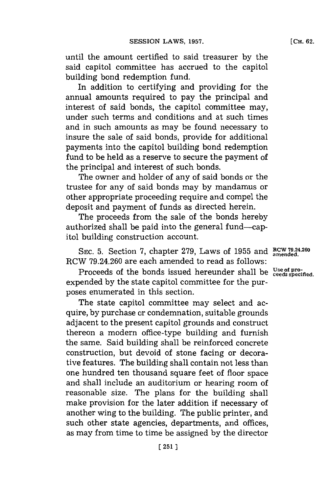until the amount certified to said treasurer **by** the said capitol committee has accrued to the capitol building bond redemption fund.

In addition to certifying and providing for the annual amounts required to pay the principal and interest of said bonds, the capitol committee may, under such terms and conditions and at such times and in such amounts as may be found necessary to insure the sale of said bonds, provide for additional payments into the capitol building bond redemption fund to be held as a reserve to secure the payment of the principal and interest of such bonds.

The owner and holder of any of said bonds or the trustee for any of said bonds may **by** mandamus or other appropriate proceeding require and compel the deposit and payment of funds as directed herein.

The proceeds from the sale of the bonds hereby authorized shall be paid into the general fund-capitol building construction account.

**SEC. 5.** Section **7,** chapter **279,** Laws of **1955** and **RCW 79.24-260** RCW **79.24.260** are each amended to read as follows:

Proceeds of the bonds issued hereunder shall be <sup>Use of pro-</sup> expended **by** the state capitol committee for the purposes enumerated in this section.

The state capitol committee may select and acquire, **by** purchase or condemnation, suitable grounds adjacent to the present capitol grounds and construct thereon a modern office-type building and furnish the same. Said building shall be reinforced concrete construction, but devoid of stone facing or decorative features. The building shall contain not less than one hundred ten thousand square feet of floor space and shall include an auditorium or hearing room of reasonable size. The plans for the building shall make provision **for** the later addition if necessary of another wing to the building. The public printer, and such other state agencies, departments, and offices, as may from time to time be assigned **by** the director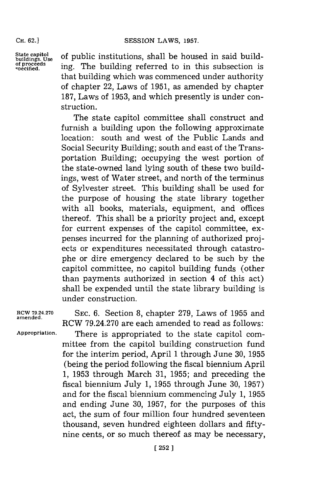#### SESSION LAWS, 1957.

**CH. 62.)**

State capitol of public institutions, shall be housed in said build-<br>
of proceeds ing The building referred to in this subsection is boundary. Use the proceeds **of proceeds** ing. The building referred to in this subsection. that building which was commenced under authority of chapter 22, Laws of **1951,** as amended **by** chapter **187,** Laws of **1953,** and which presently is under construction.

> The state capitol committee shall construct and furnish a building upon the following approximate location: south and west of the Public Lands and Social Security Building; south and east of the Transportation Building; occupying the west portion of the state-owned land lying south of these two buildings, west of Water street, and north of the terminus of Sylvester street. This building shall be used for the purpose of housing the state library together with all books, materials, equipment, and offices thereof. This shall be a priority project and, except for current expenses of the capitol committee, expenses incurred for the planning of authorized projects or expenditures necessitated through catastrophe or dire emergency declared to be such **by** the capitol committee, no capitol building funds (other than payments authorized in section 4 of this act) shall be expended until the state library building is under construction.

**amended.**

**RCW 79.24.270** SEc. **6.** Section **8,** chapter **279,** Laws of **1955** and RCW **79.24.270** are each amended to read as follows: **Appropriation.** There is appropriated to the state capitol committee from the capitol building construction fund for the interim period, April **1** through June **30, 1955** (being the period following the fiscal biennium April **1, 1953** through March **31, 1955;** and preceding the fiscal biennium July **1, 1955** through June **30, 1957)** and for the fiscal biennium commencing July **1, 1955** and ending June **30, 1957,** for the purposes of this act, the sum of four million four hundred seventeen thousand, seven hundred eighteen dollars and fiftynine cents, or so much thereof as may be necessary,